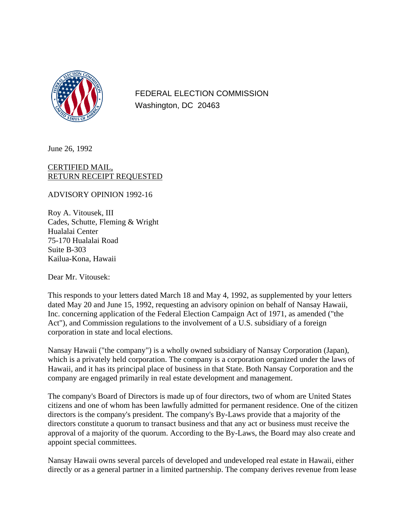

FEDERAL ELECTION COMMISSION Washington, DC 20463

June 26, 1992

## CERTIFIED MAIL, RETURN RECEIPT REQUESTED

ADVISORY OPINION 1992-16

Roy A. Vitousek, III Cades, Schutte, Fleming & Wright Hualalai Center 75-170 Hualalai Road Suite B-303 Kailua-Kona, Hawaii

Dear Mr. Vitousek:

This responds to your letters dated March 18 and May 4, 1992, as supplemented by your letters dated May 20 and June 15, 1992, requesting an advisory opinion on behalf of Nansay Hawaii, Inc. concerning application of the Federal Election Campaign Act of 1971, as amended ("the Act"), and Commission regulations to the involvement of a U.S. subsidiary of a foreign corporation in state and local elections.

Nansay Hawaii ("the company") is a wholly owned subsidiary of Nansay Corporation (Japan), which is a privately held corporation. The company is a corporation organized under the laws of Hawaii, and it has its principal place of business in that State. Both Nansay Corporation and the company are engaged primarily in real estate development and management.

The company's Board of Directors is made up of four directors, two of whom are United States citizens and one of whom has been lawfully admitted for permanent residence. One of the citizen directors is the company's president. The company's By-Laws provide that a majority of the directors constitute a quorum to transact business and that any act or business must receive the approval of a majority of the quorum. According to the By-Laws, the Board may also create and appoint special committees.

Nansay Hawaii owns several parcels of developed and undeveloped real estate in Hawaii, either directly or as a general partner in a limited partnership. The company derives revenue from lease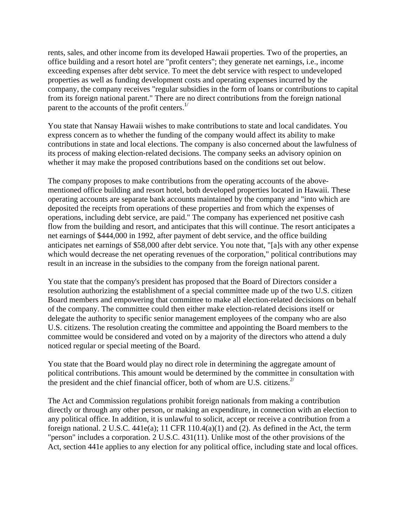rents, sales, and other income from its developed Hawaii properties. Two of the properties, an office building and a resort hotel are "profit centers"; they generate net earnings, i.e., income exceeding expenses after debt service. To meet the debt service with respect to undeveloped properties as well as funding development costs and operating expenses incurred by the company, the company receives "regular subsidies in the form of loans or contributions to capital from its foreign national parent." There are no direct contributions from the foreign national parent to the accounts of the profit centers. $^{1/2}$ 

You state that Nansay Hawaii wishes to make contributions to state and local candidates. You express concern as to whether the funding of the company would affect its ability to make contributions in state and local elections. The company is also concerned about the lawfulness of its process of making election-related decisions. The company seeks an advisory opinion on whether it may make the proposed contributions based on the conditions set out below.

The company proposes to make contributions from the operating accounts of the abovementioned office building and resort hotel, both developed properties located in Hawaii. These operating accounts are separate bank accounts maintained by the company and "into which are deposited the receipts from operations of these properties and from which the expenses of operations, including debt service, are paid." The company has experienced net positive cash flow from the building and resort, and anticipates that this will continue. The resort anticipates a net earnings of \$444,000 in 1992, after payment of debt service, and the office building anticipates net earnings of \$58,000 after debt service. You note that, "[a]s with any other expense which would decrease the net operating revenues of the corporation," political contributions may result in an increase in the subsidies to the company from the foreign national parent.

You state that the company's president has proposed that the Board of Directors consider a resolution authorizing the establishment of a special committee made up of the two U.S. citizen Board members and empowering that committee to make all election-related decisions on behalf of the company. The committee could then either make election-related decisions itself or delegate the authority to specific senior management employees of the company who are also U.S. citizens. The resolution creating the committee and appointing the Board members to the committee would be considered and voted on by a majority of the directors who attend a duly noticed regular or special meeting of the Board.

You state that the Board would play no direct role in determining the aggregate amount of political contributions. This amount would be determined by the committee in consultation with the president and the chief financial officer, both of whom are U.S. citizens. $2^{\prime}$ 

The Act and Commission regulations prohibit foreign nationals from making a contribution directly or through any other person, or making an expenditure, in connection with an election to any political office. In addition, it is unlawful to solicit, accept or receive a contribution from a foreign national. 2 U.S.C.  $441e(a)$ ; 11 CFR  $110.4(a)(1)$  and (2). As defined in the Act, the term "person" includes a corporation. 2 U.S.C. 431(11). Unlike most of the other provisions of the Act, section 441e applies to any election for any political office, including state and local offices.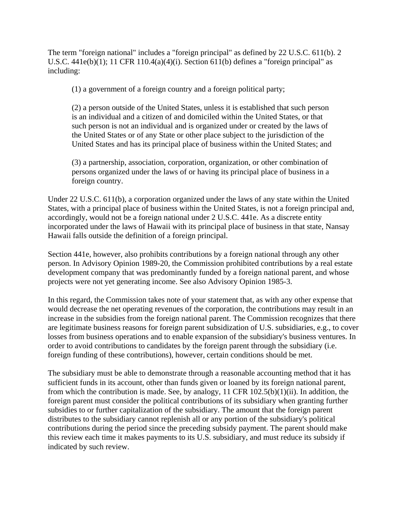The term "foreign national" includes a "foreign principal" as defined by 22 U.S.C. 611(b). 2 U.S.C.  $441e(b)(1)$ ; 11 CFR 110.4(a)(4)(i). Section 611(b) defines a "foreign principal" as including:

(1) a government of a foreign country and a foreign political party;

(2) a person outside of the United States, unless it is established that such person is an individual and a citizen of and domiciled within the United States, or that such person is not an individual and is organized under or created by the laws of the United States or of any State or other place subject to the jurisdiction of the United States and has its principal place of business within the United States; and

(3) a partnership, association, corporation, organization, or other combination of persons organized under the laws of or having its principal place of business in a foreign country.

Under 22 U.S.C. 611(b), a corporation organized under the laws of any state within the United States, with a principal place of business within the United States, is not a foreign principal and, accordingly, would not be a foreign national under 2 U.S.C. 441e. As a discrete entity incorporated under the laws of Hawaii with its principal place of business in that state, Nansay Hawaii falls outside the definition of a foreign principal.

Section 441e, however, also prohibits contributions by a foreign national through any other person. In Advisory Opinion 1989-20, the Commission prohibited contributions by a real estate development company that was predominantly funded by a foreign national parent, and whose projects were not yet generating income. See also Advisory Opinion 1985-3.

In this regard, the Commission takes note of your statement that, as with any other expense that would decrease the net operating revenues of the corporation, the contributions may result in an increase in the subsidies from the foreign national parent. The Commission recognizes that there are legitimate business reasons for foreign parent subsidization of U.S. subsidiaries, e.g., to cover losses from business operations and to enable expansion of the subsidiary's business ventures. In order to avoid contributions to candidates by the foreign parent through the subsidiary (i.e. foreign funding of these contributions), however, certain conditions should be met.

The subsidiary must be able to demonstrate through a reasonable accounting method that it has sufficient funds in its account, other than funds given or loaned by its foreign national parent, from which the contribution is made. See, by analogy, 11 CFR 102.5(b)(1)(ii). In addition, the foreign parent must consider the political contributions of its subsidiary when granting further subsidies to or further capitalization of the subsidiary. The amount that the foreign parent distributes to the subsidiary cannot replenish all or any portion of the subsidiary's political contributions during the period since the preceding subsidy payment. The parent should make this review each time it makes payments to its U.S. subsidiary, and must reduce its subsidy if indicated by such review.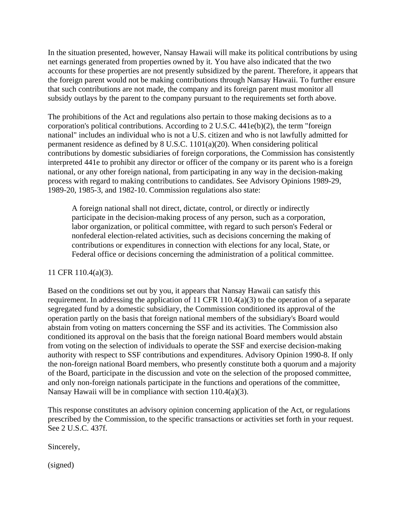In the situation presented, however, Nansay Hawaii will make its political contributions by using net earnings generated from properties owned by it. You have also indicated that the two accounts for these properties are not presently subsidized by the parent. Therefore, it appears that the foreign parent would not be making contributions through Nansay Hawaii. To further ensure that such contributions are not made, the company and its foreign parent must monitor all subsidy outlays by the parent to the company pursuant to the requirements set forth above.

The prohibitions of the Act and regulations also pertain to those making decisions as to a corporation's political contributions. According to 2 U.S.C. 441e(b)(2), the term "foreign national" includes an individual who is not a U.S. citizen and who is not lawfully admitted for permanent residence as defined by 8 U.S.C. 1101(a)(20). When considering political contributions by domestic subsidiaries of foreign corporations, the Commission has consistently interpreted 441e to prohibit any director or officer of the company or its parent who is a foreign national, or any other foreign national, from participating in any way in the decision-making process with regard to making contributions to candidates. See Advisory Opinions 1989-29, 1989-20, 1985-3, and 1982-10. Commission regulations also state:

A foreign national shall not direct, dictate, control, or directly or indirectly participate in the decision-making process of any person, such as a corporation, labor organization, or political committee, with regard to such person's Federal or nonfederal election-related activities, such as decisions concerning the making of contributions or expenditures in connection with elections for any local, State, or Federal office or decisions concerning the administration of a political committee.

## 11 CFR 110.4(a)(3).

Based on the conditions set out by you, it appears that Nansay Hawaii can satisfy this requirement. In addressing the application of 11 CFR 110.4(a)(3) to the operation of a separate segregated fund by a domestic subsidiary, the Commission conditioned its approval of the operation partly on the basis that foreign national members of the subsidiary's Board would abstain from voting on matters concerning the SSF and its activities. The Commission also conditioned its approval on the basis that the foreign national Board members would abstain from voting on the selection of individuals to operate the SSF and exercise decision-making authority with respect to SSF contributions and expenditures. Advisory Opinion 1990-8. If only the non-foreign national Board members, who presently constitute both a quorum and a majority of the Board, participate in the discussion and vote on the selection of the proposed committee, and only non-foreign nationals participate in the functions and operations of the committee, Nansay Hawaii will be in compliance with section 110.4(a)(3).

This response constitutes an advisory opinion concerning application of the Act, or regulations prescribed by the Commission, to the specific transactions or activities set forth in your request. See 2 U.S.C. 437f.

Sincerely,

(signed)